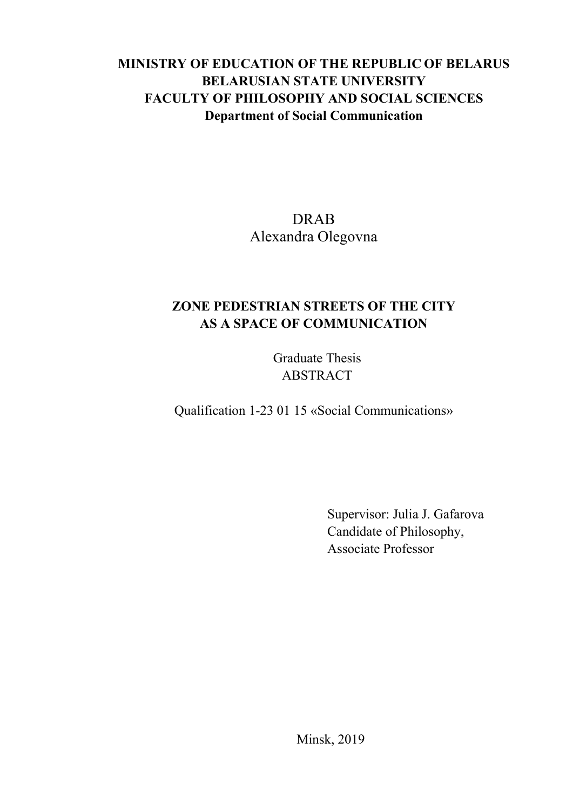## **MINISTRY OF EDUCATION OF THE REPUBLIC OF BELARUS BELARUSIAN STATE UNIVERSITY FACULTY OF PHILOSOPHY AND SOCIAL SCIENCES Department of Social Communication**

## DRAB Alexandra Olegovna

## **ZONE PEDESTRIAN STREETS OF THE CITY AS A SPACE OF COMMUNICATION**

Graduate Thesis ABSTRACT

Qualification 1-23 01 15 «Social Communications»

Supervisor: Julia J. Gafarova Candidate of Philosophy, Associate Professor

Minsk, 2019